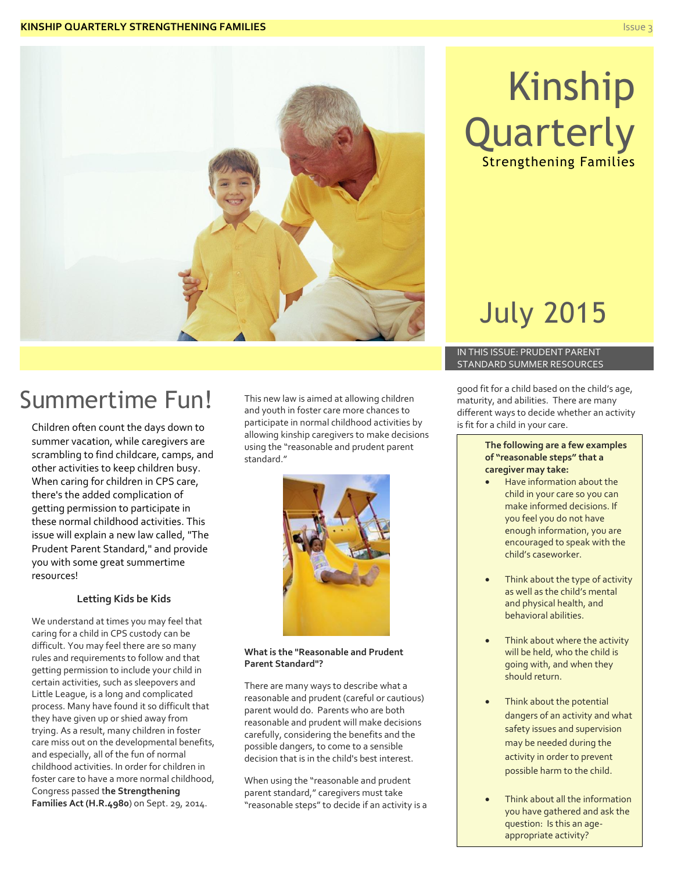

**Quarterly** 

Strengthening Families

Kinship

## Summertime Fun!

Children often count the days down to summer vacation, while caregivers are scrambling to find childcare, camps, and other activities to keep children busy. When caring for children in CPS care, there's the added complication of getting permission to participate in these normal childhood activities. This issue will explain a new law called, "The Prudent Parent Standard," and provide you with some great summertime resources!

#### **Letting Kids be Kids**

We understand at times you may feel that caring for a child in CPS custody can be difficult. You may feel there are so many rules and requirements to follow and that getting permission to include your child in certain activities, such as sleepovers and Little League, is a long and complicated process. Many have found it so difficult that they have given up or shied away from trying. As a result, many children in foster care miss out on the developmental benefits, and especially, all of the fun of normal childhood activities. In order for children in foster care to have a more normal childhood, Congress passed t**he Strengthening Families Act (H.R.4980**) on Sept. 29, 2014.

This new law is aimed at allowing children and youth in foster care more chances to participate in normal childhood activities by allowing kinship caregivers to make decisions using the "reasonable and prudent parent standard."



#### **What is the "Reasonable and Prudent Parent Standard"?**

There are many ways to describe what a reasonable and prudent (careful or cautious) parent would do. Parents who are both reasonable and prudent will make decisions carefully, considering the benefits and the possible dangers, to come to a sensible decision that is in the child's best interest.

When using the "reasonable and prudent parent standard," caregivers must take "reasonable steps" to decide if an activity is a

# July 2015

#### IN THIS ISSUE: PRUDENT PARENT STANDARD SUMMER RESOURCES

good fit for a child based on the child's age, maturity, and abilities. There are many different ways to decide whether an activity is fit for a child in your care.

#### **The following are a few examples of "reasonable steps" that a caregiver may take:**

- Have information about the child in your care so you can make informed decisions. If you feel you do not have enough information, you are encouraged to speak with the child's caseworker.
- Think about the type of activity as well as the child's mental and physical health, and behavioral abilities.
- Think about where the activity will be held, who the child is going with, and when they should return.
- Think about the potential dangers of an activity and what safety issues and supervision may be needed during the activity in order to prevent possible harm to the child.
- Think about all the information you have gathered and ask the question: Is this an ageappropriate activity?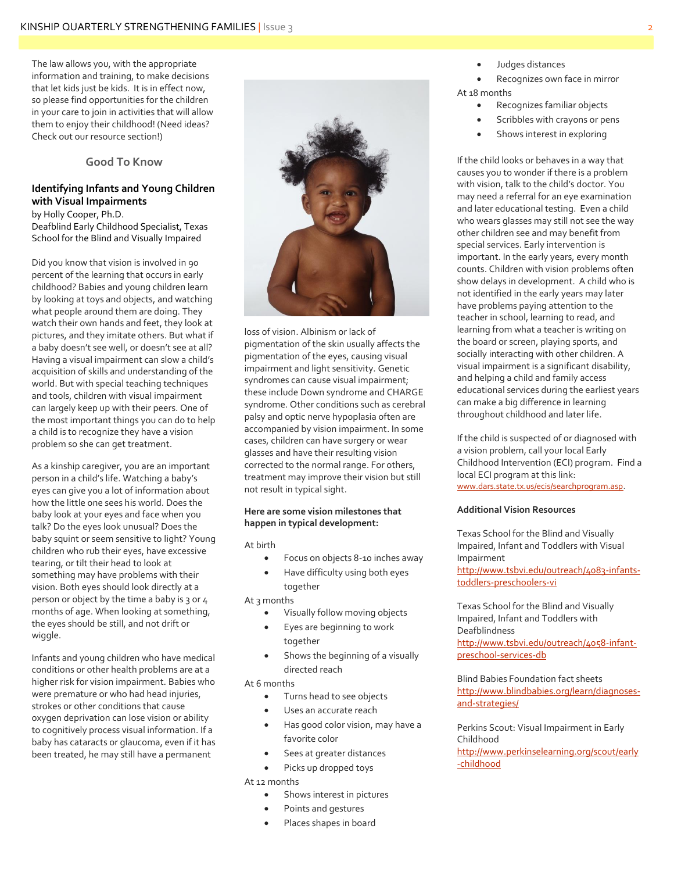The law allows you, with the appropriate information and training, to make decisions that let kids just be kids. It is in effect now, so please find opportunities for the children in your care to join in activities that will allow them to enjoy their childhood! (Need ideas? Check out our resource section!)

#### **Good To Know**

#### **Identifying Infants and Young Children with Visual Impairments**

by Holly Cooper, Ph.D. Deafblind Early Childhood Specialist, Texas School for the Blind and Visually Impaired

Did you know that vision is involved in 90 percent of the learning that occurs in early childhood? Babies and young children learn by looking at toys and objects, and watching what people around them are doing. They watch their own hands and feet, they look at pictures, and they imitate others. But what if a baby doesn't see well, or doesn't see at all? Having a visual impairment can slow a child's acquisition of skills and understanding of the world. But with special teaching techniques and tools, children with visual impairment can largely keep up with their peers. One of the most important things you can do to help a child is to recognize they have a vision problem so she can get treatment.

As a kinship caregiver, you are an important person in a child's life. Watching a baby's eyes can give you a lot of information about how the little one sees his world. Does the baby look at your eyes and face when you talk? Do the eyes look unusual? Does the baby squint or seem sensitive to light? Young children who rub their eyes, have excessive tearing, or tilt their head to look at something may have problems with their vision. Both eyes should look directly at a person or object by the time a baby is 3 or 4 months of age. When looking at something, the eyes should be still, and not drift or wiggle.

Infants and young children who have medical conditions or other health problems are at a higher risk for vision impairment. Babies who were premature or who had head injuries, strokes or other conditions that cause oxygen deprivation can lose vision or ability to cognitively process visual information. If a baby has cataracts or glaucoma, even if it has been treated, he may still have a permanent



loss of vision. Albinism or lack of pigmentation of the skin usually affects the pigmentation of the eyes, causing visual impairment and light sensitivity. Genetic syndromes can cause visual impairment; these include Down syndrome and CHARGE syndrome. Other conditions such as cerebral palsy and optic nerve hypoplasia often are accompanied by vision impairment. In some cases, children can have surgery or wear glasses and have their resulting vision corrected to the normal range. For others, treatment may improve their vision but still not result in typical sight.

#### **Here are some vision milestones that happen in typical development:**

At birth

- Focus on objects 8-10 inches away
- Have difficulty using both eyes together

At 3 months

- Visually follow moving objects
- Eyes are beginning to work together
- Shows the beginning of a visually directed reach

At 6 months

- Turns head to see objects
- Uses an accurate reach
- Has good color vision, may have a favorite color
- Sees at greater distances
- Picks up dropped toys

At 12 months

- Shows interest in pictures
- Points and gestures
- Places shapes in board

Judges distances

 Recognizes own face in mirror At 18 months

- Recognizes familiar objects
- Scribbles with crayons or pens
- Shows interest in exploring

If the child looks or behaves in a way that causes you to wonder if there is a problem with vision, talk to the child's doctor. You may need a referral for an eye examination and later educational testing. Even a child who wears glasses may still not see the way other children see and may benefit from special services. Early intervention is important. In the early years, every month counts. Children with vision problems often show delays in development. A child who is not identified in the early years may later have problems paying attention to the teacher in school, learning to read, and learning from what a teacher is writing on the board or screen, playing sports, and socially interacting with other children. A visual impairment is a significant disability, and helping a child and family access educational services during the earliest years can make a big difference in learning throughout childhood and later life.

If the child is suspected of or diagnosed with a vision problem, call your local Early Childhood Intervention (ECI) program. Find a local ECI program at this link: [www.dars.state.tx.us/ecis/searchprogram.asp.](http://www.dars.state.tx.us/ecis/searchprogram.asp)

#### **Additional Vision Resources**

Texas School for the Blind and Visually Impaired, Infant and Toddlers with Visual Impairment [http://www.tsbvi.edu/outreach/4083-infants-](http://www.tsbvi.edu/outreach/4083-infants-toddlers-preschoolers-vi)

[toddlers-preschoolers-vi](http://www.tsbvi.edu/outreach/4083-infants-toddlers-preschoolers-vi)

Texas School for the Blind and Visually Impaired, Infant and Toddlers with Deafblindness [http://www.tsbvi.edu/outreach/4058-infant](http://www.tsbvi.edu/outreach/4058-infant-preschool-services-db)[preschool-services-db](http://www.tsbvi.edu/outreach/4058-infant-preschool-services-db)

Blind Babies Foundation fact sheets [http://www.blindbabies.org/learn/diagnoses](http://www.blindbabies.org/learn/diagnoses-and-strategies/)[and-strategies/](http://www.blindbabies.org/learn/diagnoses-and-strategies/)

Perkins Scout: Visual Impairment in Early Childhood [http://www.perkinselearning.org/scout/early](http://www.perkinselearning.org/scout/early-childhood) [-childhood](http://www.perkinselearning.org/scout/early-childhood)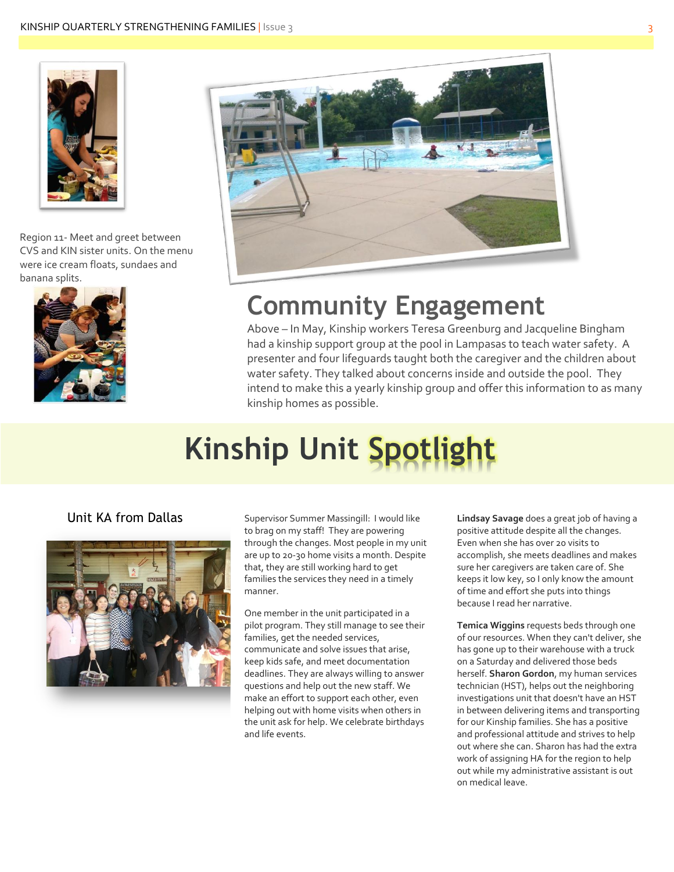

Region 11- Meet and greet between CVS and KIN sister units. On the menu were ice cream floats, sundaes and banana splits.





# **Community Engagement**

Above – In May, Kinship workers Teresa Greenburg and Jacqueline Bingham had a kinship support group at the pool in Lampasas to teach water safety. A presenter and four lifeguards taught both the caregiver and the children about water safety. They talked about concerns inside and outside the pool. They intend to make this a yearly kinship group and offer this information to as many kinship homes as possible.

# **Kinship Unit Spotlight**



**Unit KA from Dallas** Supervisor Summer Massingill: I would like to brag on my staff! They are powering through the changes. Most people in my unit are up to 20-30 home visits a month. Despite that, they are still working hard to get families the services they need in a timely manner.

> One member in the unit participated in a pilot program. They still manage to see their families, get the needed services, communicate and solve issues that arise, keep kids safe, and meet documentation deadlines. They are always willing to answer questions and help out the new staff. We make an effort to support each other, even helping out with home visits when others in the unit ask for help. We celebrate birthdays and life events.

**Lindsay Savage** does a great job of having a positive attitude despite all the changes. Even when she has over 20 visits to accomplish, she meets deadlines and makes sure her caregivers are taken care of. She keeps it low key, so I only know the amount of time and effort she puts into things because I read her narrative.

**Temica Wiggins** requests beds through one of our resources. When they can't deliver, she has gone up to their warehouse with a truck on a Saturday and delivered those beds herself. **Sharon Gordon**, my human services technician (HST), helps out the neighboring investigations unit that doesn't have an HST in between delivering items and transporting for our Kinship families. She has a positive and professional attitude and strives to help out where she can. Sharon has had the extra work of assigning HA for the region to help out while my administrative assistant is out on medical leave.